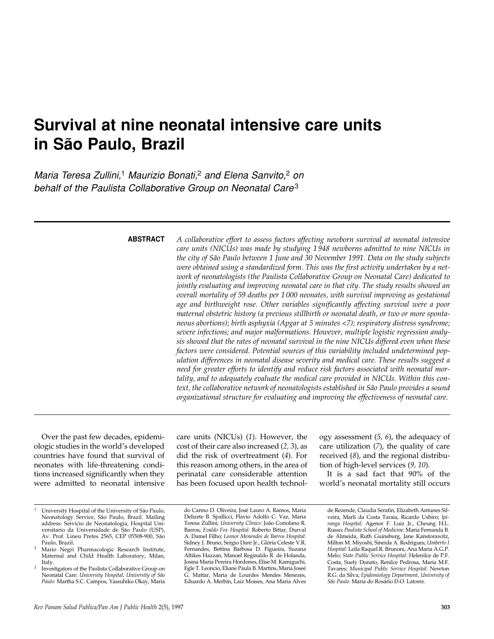# **Survival at nine neonatal intensive care units in São Paulo, Brazil**

*Maria Teresa Zullini,*<sup>1</sup> *Maurizio Bonati,*<sup>2</sup> *and Elena Sanvito,*<sup>2</sup> *on behalf of the Paulista Collaborative Group on Neonatal Care*<sup>3</sup>

### **ABSTRACT**

*A collaborative effort to assess factors affecting newborn survival at neonatal intensive care units (NICUs) was made by studying 1 948 newborns admitted to nine NICUs in the city of São Paulo between 1 June and 30 November 1991. Data on the study subjects were obtained using a standardized form. This was the first activity undertaken by a network of neonatologists (the Paulista Collaborative Group on Neonatal Care) dedicated to jointly evaluating and improving neonatal care in that city. The study results showed an overall mortality of 59 deaths per 1 000 neonates, with survival improving as gestational age and birthweight rose. Other variables significantly affecting survival were a poor maternal obstetric history (a previous stillbirth or neonatal death, or two or more spontaneous abortions); birth asphyxia (Apgar at 5 minutes <7); respiratory distress syndrome; severe infections; and major malformations. However, multiple logistic regression analysis showed that the rates of neonatal survival in the nine NICUs differed even when these factors were considered. Potential sources of this variability included undetermined population differences in neonatal disease severity and medical care. These results suggest a need for greater efforts to identify and reduce risk factors associated with neonatal mortality, and to adequately evaluate the medical care provided in NICUs. Within this context, the collaborative network of neonatologists established in São Paulo provides a sound organizational structure for evaluating and improving the effectiveness of neonatal care.*

Over the past few decades, epidemiologic studies in the world's developed countries have found that survival of neonates with life-threatening conditions increased significantly when they were admitted to neonatal intensive care units (NICUs) (*1*). However, the cost of their care also increased (*2, 3*), as did the risk of overtreatment (*4*). For this reason among others, in the area of perinatal care considerable attention has been focused upon health technol-

ogy assessment (*5, 6*), the adequacy of care utilization (*7*), the quality of care received (*8*), and the regional distribution of high-level services (*9, 10*).

It is a sad fact that 90% of the world's neonatal mortality still occurs

University Hospital of the University of São Paulo, Neonatology Service, São Paulo, Brazil. Mailing address: Servicio de Neonatologia, Hospital Universitario da Universidade de São Paulo (USP), Av. Prof. Lineu Pretes 2565, CEP 05508-900, São Paulo, Brazil.

Mario Negri Pharmacologic Research Institute, Maternal and Child Health Laboratory, Milan, Italy.

<sup>3</sup> Investigators of the Paulista Collaborative Group on Neonatal Care: *University Hospital, University of São Paulo:* Martha S.C. Campos, Yassuhiko Okay, Maria

do Carmo D. Oliveira, José Lauro A. Ramos, Maria Delizete B. Spallicci, Flavio Adolfo C. Vaz, Maria Teresa Zullini; *University Clinics*: João Coriolano R. Barros; *Evaldo Fox Hospital:* Roberto Bittar, Durval A. Damel Filho; *Leonor Menendes de Barros Hospital:* Sidney J. Bruno, Sergio Daré Jr., Glória Celeste V.R. Fernandes, Bettina Barbosa D. Figueira, Suzana Altikes Hazzan, Manoel Reginaldo R. de Holanda, Josina Maria Pereira Hordones, Elise M. Kamiguchi, Egle T. Leoncio, Eliane Paula B. Martins, Maria Joseé Mattar, Maria de Lourdes Mendes Menezes, Eduardo A. Merbin, Laiz Moises, Ana Maria Alves

de Rezende, Claudia Serafin, Elizabeth Antunes Silveira, Marli da Costa Taraia, Ricardo Ushiro; *Ipiranga Hospital:* Agenor F. Luiz Jr., Cheung H.L. Russo; *Paulista School of Medicine:* Maria Fernanda B. de Almeida, Ruth Guinsburg, Jane Kanstorawitz, Milton M. Miyoshi, Sineida A. Rodrigues; *Umberto I Hospital:* Leila Raquel R. Brunoni, Ana Maria A.G.P. Melo; *State Public Service Hospital:* Helenilce de P.F. Costa, Suely Donato, Renilce Pedrosa, Maria M.F. Tavares; *Municipal Public Service Hospital:* Newton R.G. da Silva; *Epidemiology Department, University of São Paulo:* Maria do Rosário D.O. Latorre.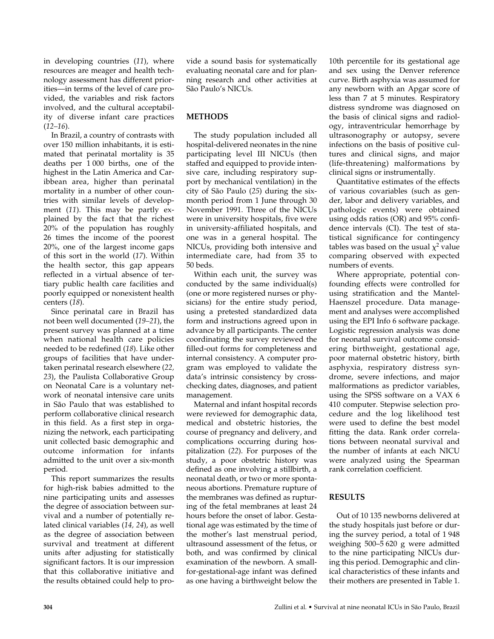in developing countries (*11*), where resources are meager and health technology assessment has different priorities—in terms of the level of care provided, the variables and risk factors involved, and the cultural acceptability of diverse infant care practices (*12–16*).

In Brazil, a country of contrasts with over 150 million inhabitants, it is estimated that perinatal mortality is 35 deaths per 1 000 births, one of the highest in the Latin America and Caribbean area, higher than perinatal mortality in a number of other countries with similar levels of development (*11*). This may be partly explained by the fact that the richest 20% of the population has roughly 26 times the income of the poorest 20%, one of the largest income gaps of this sort in the world (*17*). Within the health sector, this gap appears reflected in a virtual absence of tertiary public health care facilities and poorly equipped or nonexistent health centers (*18*).

Since perinatal care in Brazil has not been well documented (*19–21*), the present survey was planned at a time when national health care policies needed to be redefined (*18*). Like other groups of facilities that have undertaken perinatal research elsewhere (*22, 23*), the Paulista Collaborative Group on Neonatal Care is a voluntary network of neonatal intensive care units in São Paulo that was established to perform collaborative clinical research in this field. As a first step in organizing the network, each participating unit collected basic demographic and outcome information for infants admitted to the unit over a six-month period.

This report summarizes the results for high-risk babies admitted to the nine participating units and assesses the degree of association between survival and a number of potentially related clinical variables (*14, 24*), as well as the degree of association between survival and treatment at different units after adjusting for statistically significant factors. It is our impression that this collaborative initiative and the results obtained could help to provide a sound basis for systematically evaluating neonatal care and for planning research and other activities at São Paulo's NICUs.

## **METHODS**

The study population included all hospital-delivered neonates in the nine participating level III NICUs (then staffed and equipped to provide intensive care, including respiratory support by mechanical ventilation) in the city of São Paulo (*25*) during the sixmonth period from 1 June through 30 November 1991. Three of the NICUs were in university hospitals, five were in university-affiliated hospitals, and one was in a general hospital. The NICUs, providing both intensive and intermediate care, had from 35 to 50 beds.

Within each unit, the survey was conducted by the same individual(s) (one or more registered nurses or physicians) for the entire study period, using a pretested standardized data form and instructions agreed upon in advance by all participants. The center coordinating the survey reviewed the filled-out forms for completeness and internal consistency. A computer program was employed to validate the data's intrinsic consistency by crosschecking dates, diagnoses, and patient management.

Maternal and infant hospital records were reviewed for demographic data, medical and obstetric histories, the course of pregnancy and delivery, and complications occurring during hospitalization (*22*). For purposes of the study, a poor obstetric history was defined as one involving a stillbirth, a neonatal death, or two or more spontaneous abortions. Premature rupture of the membranes was defined as rupturing of the fetal membranes at least 24 hours before the onset of labor. Gestational age was estimated by the time of the mother's last menstrual period, ultrasound assessment of the fetus, or both, and was confirmed by clinical examination of the newborn. A smallfor-gestational-age infant was defined as one having a birthweight below the

10th percentile for its gestational age and sex using the Denver reference curve. Birth asphyxia was assumed for any newborn with an Apgar score of less than 7 at 5 minutes. Respiratory distress syndrome was diagnosed on the basis of clinical signs and radiology, intraventricular hemorrhage by ultrasonography or autopsy, severe infections on the basis of positive cultures and clinical signs, and major (life-threatening) malformations by clinical signs or instrumentally.

Quantitative estimates of the effects of various covariables (such as gender, labor and delivery variables, and pathologic events) were obtained using odds ratios (OR) and 95% confidence intervals (CI). The test of statistical significance for contingency tables was based on the usual  $\chi^2$  value comparing observed with expected numbers of events.

Where appropriate, potential confounding effects were controlled for using stratification and the Mantel-Haenszel procedure. Data management and analyses were accomplished using the EPI Info 6 software package. Logistic regression analysis was done for neonatal survival outcome considering birthweight, gestational age, poor maternal obstetric history, birth asphyxia, respiratory distress syndrome, severe infections, and major malformations as predictor variables, using the SPSS software on a VAX 6 410 computer. Stepwise selection procedure and the log likelihood test were used to define the best model fitting the data. Rank order correlations between neonatal survival and the number of infants at each NICU were analyzed using the Spearman rank correlation coefficient.

# **RESULTS**

Out of 10 135 newborns delivered at the study hospitals just before or during the survey period, a total of 1 948 weighing 500–5 620 g were admitted to the nine participating NICUs during this period. Demographic and clinical characteristics of these infants and their mothers are presented in Table 1.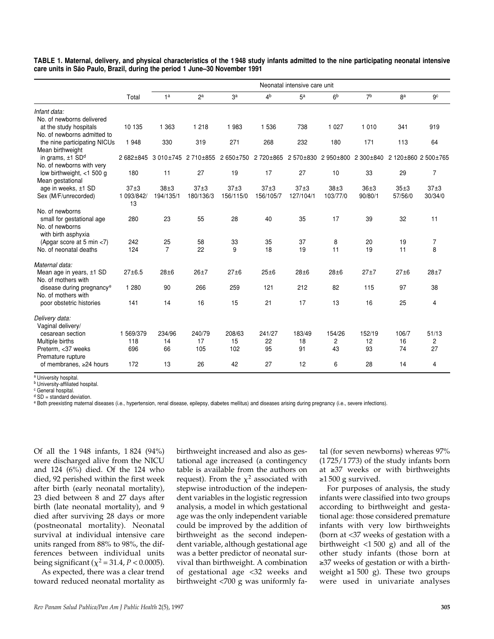|                                                                     |                          | Neonatal intensive care unit |                   |                   |                   |                   |                      |                     |                     |                     |
|---------------------------------------------------------------------|--------------------------|------------------------------|-------------------|-------------------|-------------------|-------------------|----------------------|---------------------|---------------------|---------------------|
|                                                                     | Total                    | 1 <sup>a</sup>               | 2a                | 3 <sup>a</sup>    | 4 <sup>b</sup>    | 5 <sup>a</sup>    | 6 <sup>b</sup>       | 7 <sup>b</sup>      | 8 <sup>a</sup>      | 9c                  |
| Infant data:                                                        |                          |                              |                   |                   |                   |                   |                      |                     |                     |                     |
| No. of newborns delivered<br>at the study hospitals                 | 10 135                   | 1 3 6 3                      | 1 2 1 8           | 1 983             | 1 5 3 6           | 738               | 1 0 2 7              | 1 0 1 0             | 341                 | 919                 |
| No. of newborns admitted to                                         |                          |                              |                   |                   |                   |                   |                      |                     |                     |                     |
| the nine participating NICUs<br>Mean birthweight                    | 1 948                    | 330                          | 319               | 271               | 268               | 232               | 180                  | 171                 | 113                 | 64                  |
| in grams, $±1$ SD <sup>d</sup><br>No. of newborns with very         | 2 682±845                | 3 010±745                    | 2710±855          | 2 650±750         | 2720±865          | 2570±830          | 2 950 ±800           | 2 300±840           |                     | 2 120±860 2 500±765 |
| low birthweight, $<$ 1 500 g<br>Mean gestational                    | 180                      | 11                           | 27                | 19                | 17                | 27                | 10                   | 33                  | 29                  | $\overline{7}$      |
| age in weeks, ±1 SD<br>Sex (M/F/unrecorded)                         | 37±3<br>1 093/842/<br>13 | $38\pm3$<br>194/135/1        | 37±3<br>180/136/3 | 37±3<br>156/115/0 | 37±3<br>156/105/7 | 37±3<br>127/104/1 | $38\pm3$<br>103/77/0 | $36 + 3$<br>90/80/1 | $35\pm3$<br>57/56/0 | 37±3<br>30/34/0     |
| No. of newborns                                                     |                          |                              |                   |                   |                   |                   |                      |                     |                     |                     |
| small for gestational age<br>No. of newborns<br>with birth asphyxia | 280                      | 23                           | 55                | 28                | 40                | 35                | 17                   | 39                  | 32                  | 11                  |
| (Apgar score at 5 min <7)                                           | 242                      | 25                           | 58                | 33                | 35                | 37                | 8                    | 20                  | 19                  | $\overline{7}$      |
| No. of neonatal deaths                                              | 124                      | $\overline{7}$               | 22                | 9                 | 18                | 19                | 11                   | 19                  | 11                  | 8                   |
| Maternal data:                                                      |                          |                              |                   |                   |                   |                   |                      |                     |                     |                     |
| Mean age in years, $±1$ SD<br>No. of mothers with                   | $27 + 6.5$               | $28\pm 6$                    | $26 + 7$          | $27 + 6$          | $25\pm 6$         | $28 + 6$          | $28\pm 6$            | $27 + 7$            | $27\pm 6$           | $28 + 7$            |
| disease during pregnancy <sup>e</sup><br>No. of mothers with        | 1 2 8 0                  | 90                           | 266               | 259               | 121               | 212               | 82                   | 115                 | 97                  | 38                  |
| poor obstetric histories                                            | 141                      | 14                           | 16                | 15                | 21                | 17                | 13                   | 16                  | 25                  | 4                   |
| Delivery data:<br>Vaginal delivery/                                 |                          |                              |                   |                   |                   |                   |                      |                     |                     |                     |
| cesarean section                                                    | 1 569/379                | 234/96                       | 240/79            | 208/63            | 241/27            | 183/49            | 154/26               | 152/19              | 106/7               | 51/13               |
| Multiple births                                                     | 118                      | 14                           | 17                | 15                | 22                | 18                | 2                    | 12                  | 16                  | 2                   |
| Preterm, <37 weeks<br>Premature rupture                             | 696                      | 66                           | 105               | 102               | 95                | 91                | 43                   | 93                  | 74                  | 27                  |
| of membranes, ≥24 hours                                             | 172                      | 13                           | 26                | 42                | 27                | 12                | 6                    | 28                  | 14                  | 4                   |

**TABLE 1. Maternal, delivery, and physical characteristics of the 1 948 study infants admitted to the nine participating neonatal intensive care units in São Paulo, Brazil, during the period 1 June–30 November 1991**

<sup>a</sup> University hospital.

<sup>b</sup> University-affiliated hospital.

<sup>c</sup> General hospital.  $d$  SD = standard deviation.

<sup>e</sup> Both preexisting maternal diseases (i.e., hypertension, renal disease, epilepsy, diabetes mellitus) and diseases arising during pregnancy (i.e., severe infections).

Of all the 1 948 infants, 1 824 (94%) were discharged alive from the NICU and 124 (6%) died. Of the 124 who died, 92 perished within the first week after birth (early neonatal mortality), 23 died between 8 and 27 days after birth (late neonatal mortality), and 9 died after surviving 28 days or more (postneonatal mortality). Neonatal survival at individual intensive care units ranged from 88% to 98%, the differences between individual units being significant ( $\chi^2$  = 31.4, *P* < 0.0005).

As expected, there was a clear trend toward reduced neonatal mortality as birthweight increased and also as gestational age increased (a contingency table is available from the authors on request). From the  $\chi^2$  associated with stepwise introduction of the independent variables in the logistic regression analysis, a model in which gestational age was the only independent variable could be improved by the addition of birthweight as the second independent variable, although gestational age was a better predictor of neonatal survival than birthweight. A combination of gestational age <32 weeks and birthweight <700 g was uniformly fa-

tal (for seven newborns) whereas 97% (1 725/1 773) of the study infants born at ≥37 weeks or with birthweights ≥1 500 g survived.

For purposes of analysis, the study infants were classified into two groups according to birthweight and gestational age: those considered premature infants with very low birthweights (born at <37 weeks of gestation with a birthweight <1 500 g) and all of the other study infants (those born at ≥37 weeks of gestation or with a birthweight  $\geq 1500$  g). These two groups were used in univariate analyses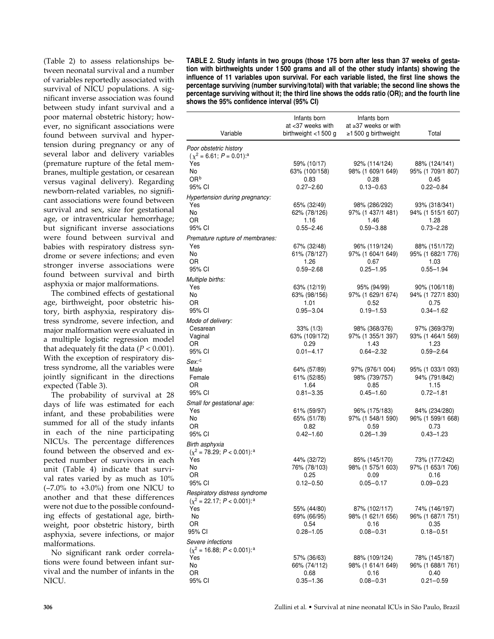(Table 2) to assess relationships between neonatal survival and a number of variables reportedly associated with survival of NICU populations. A significant inverse association was found between study infant survival and a poor maternal obstetric history; however, no significant associations were found between survival and hypertension during pregnancy or any of several labor and delivery variables (premature rupture of the fetal membranes, multiple gestation, or cesarean versus vaginal delivery). Regarding newborn-related variables, no significant associations were found between survival and sex, size for gestational age, or intraventricular hemorrhage; but significant inverse associations were found between survival and babies with respiratory distress syndrome or severe infections; and even stronger inverse associations were found between survival and birth asphyxia or major malformations.

The combined effects of gestational age, birthweight, poor obstetric history, birth asphyxia, respiratory distress syndrome, severe infection, and major malformation were evaluated in a multiple logistic regression model that adequately fit the data  $(P < 0.001)$ . With the exception of respiratory distress syndrome, all the variables were jointly significant in the directions expected (Table 3).

The probability of survival at 28 days of life was estimated for each infant, and these probabilities were summed for all of the study infants in each of the nine participating NICUs. The percentage differences found between the observed and expected number of survivors in each unit (Table 4) indicate that survival rates varied by as much as 10% (−7.0% to +3.0%) from one NICU to another and that these differences were not due to the possible confounding effects of gestational age, birthweight, poor obstetric history, birth asphyxia, severe infections, or major malformations.

No significant rank order correlations were found between infant survival and the number of infants in the NICU.

**TABLE 2. Study infants in two groups (those 175 born after less than 37 weeks of gestation with birthweights under 1 500 grams and all of the other study infants) showing the influence of 11 variables upon survival. For each variable listed, the first line shows the percentage surviving (number surviving/total) with that variable; the second line shows the percentage surviving without it; the third line shows the odds ratio (OR); and the fourth line shows the 95% confidence interval (95% CI)**

|                                                  | Infants born<br>at <37 weeks with | Infants born<br>at ≥37 weeks or with |                                    |  |
|--------------------------------------------------|-----------------------------------|--------------------------------------|------------------------------------|--|
| Variable                                         | birthweight $<$ 1500 g            | $\geq$ 1500 g birthweight            | Total                              |  |
| Poor obstetric history                           |                                   |                                      |                                    |  |
| $(\chi^2 = 6.61; P = 0.01)^{a}$                  |                                   |                                      |                                    |  |
| Yes                                              | 59% (10/17)                       | 92% (114/124)                        | 88% (124/141)                      |  |
| No<br>OR <sup>b</sup>                            | 63% (100/158)<br>0.83             | 98% (1 609/1 649)<br>0.28            | 95% (1 709/1 807)<br>0.45          |  |
| 95% CI                                           | $0.27 - 2.60$                     | $0.13 - 0.63$                        | $0.22 - 0.84$                      |  |
| Hypertension during pregnancy:                   |                                   |                                      |                                    |  |
| Yes                                              | 65% (32/49)                       | 98% (286/292)                        | 93% (318/341)                      |  |
| No                                               | 62% (78/126)                      | 97% (1 437/1 481)                    | 94% (1 515/1 607)                  |  |
| OR                                               | 1.16                              | 1.46                                 | 1.28                               |  |
| 95% CI                                           | $0.55 - 2.46$                     | $0.59 - 3.88$                        | $0.73 - 2.28$                      |  |
| Premature rupture of membranes:                  |                                   |                                      |                                    |  |
| Yes                                              | 67% (32/48)                       | 96% (119/124)                        | 88% (151/172)                      |  |
| No<br>OR                                         | 61% (78/127)<br>1.26              | 97% (1 604/1 649)<br>0.67            | 95% (1 682/1 776)<br>1.03          |  |
| 95% CI                                           | $0.59 - 2.68$                     | $0.25 - 1.95$                        | $0.55 - 1.94$                      |  |
| Multiple births:                                 |                                   |                                      |                                    |  |
| Yes                                              | 63% (12/19)                       | 95% (94/99)                          | 90% (106/118)                      |  |
| No                                               | 63% (98/156)                      | 97% (1 629/1 674)                    | 94% (1 727/1 830)                  |  |
| OR                                               | 1.01                              | 0.52                                 | 0.75                               |  |
| 95% CI                                           | $0.95 - 3.04$                     | $0.19 - 1.53$                        | $0.34 - 1.62$                      |  |
| Mode of delivery:                                |                                   |                                      |                                    |  |
| Cesarean                                         | $33\%$ (1/3)                      | 98% (368/376)                        | 97% (369/379)                      |  |
| Vaginal<br>OR                                    | 63% (109/172)<br>0.29             | 97% (1 355/1 397)<br>1.43            | 93% (1 464/1 569)<br>1.23          |  |
| 95% CI                                           | $0.01 - 4.17$                     | $0.64 - 2.32$                        | $0.59 - 2.64$                      |  |
| Sex: c                                           |                                   |                                      |                                    |  |
| Male                                             | 64% (57/89)                       | 97% (976/1 004)                      | 95% (1 033/1 093)                  |  |
| Female                                           | 61% (52/85)                       | 98% (739/757)                        | 94% (791/842)                      |  |
| OR                                               | 1.64                              | 0.85                                 | 1.15                               |  |
| 95% CI                                           | $0.81 - 3.35$                     | $0.45 - 1.60$                        | $0.72 - 1.81$                      |  |
| Small for gestational age:                       |                                   |                                      |                                    |  |
| Yes<br>No                                        | 61% (59/97)<br>65% (51/78)        | 96% (175/183)<br>97% (1 548/1 590)   | 84% (234/280)<br>96% (1 599/1 668) |  |
| OR                                               | 0.82                              | 0.59                                 | 0.73                               |  |
| 95% CI                                           | $0.42 - 1.60$                     | $0.26 - 1.39$                        | $0.43 - 1.23$                      |  |
| Birth asphyxia                                   |                                   |                                      |                                    |  |
| $(x^2 = 78.29; P < 0.001)$ : <sup>a</sup>        |                                   |                                      |                                    |  |
| Yes                                              | 44% (32/72)                       | 85% (145/170)                        | 73% (177/242)                      |  |
| No.                                              | 76% (78/103)                      | 98% (1 575/1 603)                    | 97% (1 653/1 706)                  |  |
| OR<br>95% CI                                     | 0.25<br>$0.12 - 0.50$             | 0.09<br>$0.05 - 0.17$                | 0.16<br>$0.09 - 0.23$              |  |
| Respiratory distress syndrome                    |                                   |                                      |                                    |  |
| $(x^2 = 22.17; P < 0.001)$ : <sup>a</sup>        |                                   |                                      |                                    |  |
| Yes                                              | 55% (44/80)                       | 87% (102/117)                        | 74% (146/197)                      |  |
| No                                               | 69% (66/95)                       | 98% (1 621/1 656)                    | 96% (1 687/1 751)                  |  |
| OR                                               | 0.54                              | 0.16                                 | 0.35                               |  |
| 95% CI                                           | $0.28 - 1.05$                     | $0.08 - 0.31$                        | $0.18 - 0.51$                      |  |
| Severe infections                                |                                   |                                      |                                    |  |
| $(x^2 = 16.88; P < 0.001)$ : <sup>a</sup><br>Yes | 57% (36/63)                       | 88% (109/124)                        | 78% (145/187)                      |  |
| No                                               | 66% (74/112)                      | 98% (1 614/1 649)                    | 96% (1 688/1 761)                  |  |
| OR                                               | 0.68                              | 0.16                                 | 0.40                               |  |
| 95% CI                                           | $0.35 - 1.36$                     | $0.08 - 0.31$                        | $0.21 - 0.59$                      |  |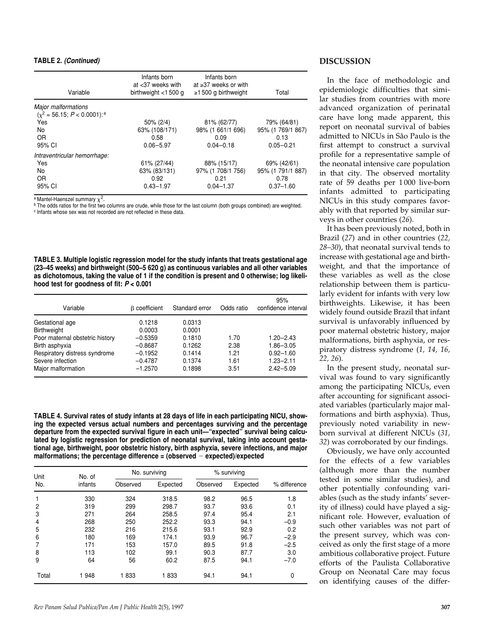#### **TABLE 2.** *(Continued)*

| Variable                                                                                              | Infants born<br>at $<$ 37 weeks with<br>birthweight $<$ 1500 g | Infants born<br>at $\geq$ 37 weeks or with<br>$\geq$ 1500 g birthweight | Total                                                     |
|-------------------------------------------------------------------------------------------------------|----------------------------------------------------------------|-------------------------------------------------------------------------|-----------------------------------------------------------|
| <b>Major malformations</b><br>$(x^2 = 56.15; P < 0.0001)$ : <sup>a</sup><br>Yes<br>No<br>0R<br>95% CI | $50\% (2/4)$<br>63% (108/171)<br>0.58<br>$0.06 - 5.97$         | 81% (62/77)<br>98% (1 661/1 696)<br>0.09<br>$0.04 - 0.18$               | 79% (64/81)<br>95% (1 769/1 867)<br>0.13<br>$0.05 - 0.21$ |
| Intraventricular hemorrhage:<br>Yes<br>N <sub>o</sub><br>OR.<br>95% CI                                | 61% (27/44)<br>63% (83/131)<br>0.92<br>$0.43 - 1.97$           | 88% (15/17)<br>97% (1 708/1 756)<br>0.21<br>$0.04 - 1.37$               | 69% (42/61)<br>95% (1 791/1 887)<br>0.78<br>$0.37 - 1.60$ |

<sup>a</sup> Mantel-Haenszel summary  $\chi^2.$ 

<sup>b</sup> The odds ratios for the first two columns are crude, while those for the last column (both groups combined) are weighted. <sup>c</sup> Infants whose sex was not recorded are not reflected in these data.

**TABLE 3. Multiple logistic regression model for the study infants that treats gestational age (23–45 weeks) and birthweight (500–5 620 g) as continuous variables and all other variables as dichotomous, taking the value of 1 if the condition is present and 0 otherwise; log likelihood test for goodness of fit:** *P* **< 0.001**

| Variable                        | <b>B</b> coefficient | Standard error | Odds ratio | 95%<br>confidence interval |
|---------------------------------|----------------------|----------------|------------|----------------------------|
| Gestational age                 | 0.1218               | 0.0313         |            |                            |
| <b>Birthweight</b>              | 0.0003               | 0.0001         |            |                            |
| Poor maternal obstetric history | $-0.5359$            | 0.1810         | 1.70       | $1.20 - 2.43$              |
| Birth asphyxia                  | $-0.8687$            | 0.1262         | 2.38       | $1.86 - 3.05$              |
| Respiratory distress syndrome   | $-0.1952$            | 0.1414         | 1.21       | $0.92 - 1.60$              |
| Severe infection                | $-0.4787$            | 0.1374         | 1.61       | $1.23 - 2.11$              |
| Major malformation              | $-1.2570$            | 0.1898         | 3.51       | $2.42 - 5.09$              |

**TABLE 4. Survival rates of study infants at 28 days of life in each participating NICU, showing the expected versus actual numbers and percentages surviving and the percentage departure from the expected survival figure in each unit—"expected" survival being calculated by logistic regression for prediction of neonatal survival, taking into account gestational age, birthweight, poor obstetric history, birth asphyxia, severe infections, and major malformations; the percentage difference = (observed expected)/expected**

| Unit<br>No. | No. of  |          | No. surviving |          | % surviving |              |
|-------------|---------|----------|---------------|----------|-------------|--------------|
|             | infants | Observed | Expected      | Observed | Expected    | % difference |
|             | 330     | 324      | 318.5         | 98.2     | 96.5        | 1.8          |
| 2           | 319     | 299      | 298.7         | 93.7     | 93.6        | 0.1          |
| 3           | 271     | 264      | 258.5         | 97.4     | 95.4        | 2.1          |
| 4           | 268     | 250      | 252.2         | 93.3     | 94.1        | $-0.9$       |
| 5           | 232     | 216      | 215.6         | 93.1     | 92.9        | 0.2          |
| 6           | 180     | 169      | 174.1         | 93.9     | 96.7        | $-2.9$       |
| 7           | 171     | 153      | 157.0         | 89.5     | 91.8        | $-2.5$       |
| 8           | 113     | 102      | 99.1          | 90.3     | 87.7        | 3.0          |
| 9           | 64      | 56       | 60.2          | 87.5     | 94.1        | $-7.0$       |
| Total       | 1948    | 1833     | 1833          | 94.1     | 94.1        | 0            |

#### **DISCUSSION**

In the face of methodologic and epidemiologic difficulties that similar studies from countries with more advanced organization of perinatal care have long made apparent, this report on neonatal survival of babies admitted to NICUs in São Paulo is the first attempt to construct a survival profile for a representative sample of the neonatal intensive care population in that city. The observed mortality rate of 59 deaths per 1 000 live-born infants admitted to participating NICUs in this study compares favorably with that reported by similar surveys in other countries (*26*).

It has been previously noted, both in Brazil (*27*) and in other countries (*22, 28–30*), that neonatal survival tends to increase with gestational age and birthweight, and that the importance of these variables as well as the close relationship between them is particularly evident for infants with very low birthweights. Likewise, it has been widely found outside Brazil that infant survival is unfavorably influenced by poor maternal obstetric history, major malformations, birth asphyxia, or respiratory distress syndrome (*1, 14, 16, 22, 26*).

In the present study, neonatal survival was found to vary significantly among the participating NICUs, even after accounting for significant associated variables (particularly major malformations and birth asphyxia). Thus, previously noted variability in newborn survival at different NICUs (*31, 32*) was corroborated by our findings.

Obviously, we have only accounted for the effects of a few variables (although more than the number tested in some similar studies), and other potentially confounding variables (such as the study infants' severity of illness) could have played a significant role. However, evaluation of such other variables was not part of the present survey, which was conceived as only the first stage of a more ambitious collaborative project. Future efforts of the Paulista Collaborative Group on Neonatal Care may focus on identifying causes of the differ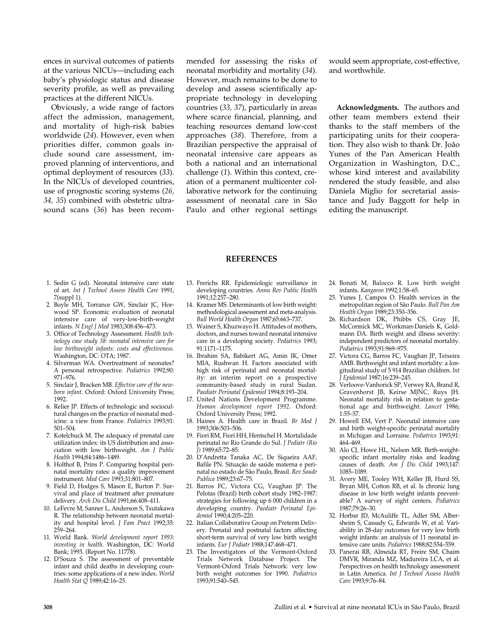ences in survival outcomes of patients at the various NICUs—including each baby's physiologic status and disease severity profile, as well as prevailing practices at the different NICUs.

Obviously, a wide range of factors affect the admission, management, and mortality of high-risk babies worldwide (*24*). However, even when priorities differ, common goals include sound care assessment, improved planning of interventions, and optimal deployment of resources (*33*). In the NICUs of developed countries, use of prognostic scoring systems (*26, 34, 35*) combined with obstetric ultrasound scans (*36*) has been recommended for assessing the risks of neonatal morbidity and mortality (*34*). However, much remains to be done to develop and assess scientifically appropriate technology in developing countries (*33, 37*), particularly in areas where scarce financial, planning, and teaching resources demand low-cost approaches (*38*). Therefore, from a Brazilian perspective the appraisal of neonatal intensive care appears as both a national and an international challenge (*1*). Within this context, creation of a permanent multicenter collaborative network for the continuing assessment of neonatal care in São Paulo and other regional settings

would seem appropriate, cost-effective, and worthwhile.

**Acknowledgments.** The authors and other team members extend their thanks to the staff members of the participating units for their cooperation. They also wish to thank Dr. João Yunes of the Pan American Health Organization in Washington, D.C., whose kind interest and availability rendered the study feasible, and also Daniela Miglio for secretarial assistance and Judy Baggott for help in editing the manuscript.

- **REFERENCES**
- 1. Sedin G (ed). Neonatal intensive care: state of art. *Int J Technol Assess Health Care* 1991; 7(suppl 1).
- 2. Boyle MH, Torrance GW, Sinclair JC, Horwood SP. Economic evaluation of neonatal intensive care of very-low-birth-weight infants. *N Engl J Med* 1983;308:456–473.
- 3. Office of Technology Assessment. *Health technology case study 38: neonatal intensive care for low birthweight infants: costs and effectiveness.* Washington, DC: OTA; 1987.
- 4. Silverman WA. Overtreatment of neonates? A personal retrospective. *Pediatrics* 1992;90: 971–976.
- 5. Sinclair J, Bracken MB. *Effective care of the newborn infant*. Oxford: Oxford University Press; 1992.
- 6. Relier JP. Effects of technologic and sociocultural changes on the practice of neonatal medicine: a view from France. *Pediatrics* 1993;91: 501–504.
- 7. Kotelchuck M. The adequacy of prenatal care utilization index: its US distribution and association with low birthweight. *Am J Public Health* 1994;84:1486–1489.
- 8. Holthof B, Prins P. Comparing hospital perinatal mortality rates: a quality improvement instrument. *Med Care* 1993;31:801–807.
- 9. Field D, Hodges S, Mason E, Burton P. Survival and place of treatment after premature delivery. *Arch Dis Child* 1991;66:408–411.
- 10. LeFevre M, Sanner L, Anderson S, Tsutakawa R. The relationship between neonatal mortality and hospital level. *J Fam Pract* 1992;35: 259–264.
- 11. World Bank. *World development report 1993: investing in health*. Washington, DC: World Bank; 1993. (Report No. 11778).
- 12. D'Souza S. The assessment of preventable infant and child deaths in developing countries: some applications of a new index. *World Health Stat Q* 1989;42:16–25.
- 13. Frerichs RR. Epidemiologic surveillance in developing countries. *Annu Rev Public Health* 1991;12:257–280.
- 14. Kramer MS. Determinants of low birth weight: methodological assessment and meta-analysis. *Bull World Health Organ* 1987;65:663–737.
- 15. Wainer S, Khuzwayo H. Attitudes of mothers, doctors, and nurses toward neonatal intensive care in a developing society. *Pediatrics* 1993; 91:1171–1175.
- 16. Ibrahim SA, Babikert AG, Amin IK, Omer MIA, Rushwan H. Factors associated with high risk of perinatal and neonatal mortality: an interim report on a prospective community-based study in rural Sudan. *Paediatr Perinatal Epidemiol* 1994;8:193–204.
- 17. United Nations Development Programme. *Human development report 1992*. Oxford: Oxford University Press; 1992.
- 18. Haines A. Health care in Brazil. *Br Med J* 1993;306:503–506.
- 19. Fiori RM, Fiori HH, Hentschel H. Mortalidade perinatal no Rio Grande do Sul. *J Pediatr (Rio J)* 1989;65:72–85.
- 20. D'Andretta Tanaka AC, De Siqueira AAF, Bafile PN. Situação de saúde materna e perinatal no estado de São Paulo, Brasil. *Rev Saude Publica* 1989;23:67–75.
- 21. Barros FC, Victora CG, Vaughan JP. The Pelotas (Brazil) birth cohort study 1982–1987: strategies for following up 6 000 children in a developing country. *Paediatr Perinatal Epidemiol* 1990;4:205–220.
- 22. Italian Collaborative Group on Preterm Delivery. Prenatal and postnatal factors affecting short-term survival of very low birth weight infants. *Eur J Pediatr* 1988;147:468–471.
- 23. The Investigators of the Vermont-Oxford Trials Network Database Project. The Vermont-Oxford Trials Network: very low birth weight outcomes for 1990. *Pediatrics* 1993;91:540–545.
- 24. Bonati M, Balocco R. Low birth weight infants. *Kangaroo* 1992;1:58–65.
- 25. Yunes J, Campos O. Health services in the metropolitan region of São Paulo. *Bull Pan Am Health Organ* 1989;23:350–356.
- 26. Richardson DK, Phibbs CS, Gray JE, McCormick MC, Workman-Daniels K, Goldmann DA. Birth weight and illness severity: independent predictors of neonatal mortality. *Pediatrics* 1993;91:969–975.
- 27. Victora CG, Barros FC, Vaughan JP, Teixeira AMB. Birthweight and infant mortality: a longitudinal study of 5 914 Brazilian children. *Int J Epidemiol* 1987;16:239–245.
- 28. Verloove-Vanhorick SP, Verwey RA, Brand R, Gravenhorst JB, Keirse MJNC, Ruys JH. Neonatal mortality risk in relation to gestational age and birthweight. *Lancet* 1986; 1:55–57.
- 29. Howell EM, Vert P. Neonatal intensive care and birth weight-specific perinatal mortality in Michigan and Lorraine. *Pediatrics* 1993;91: 464–469.
- 30. Alo CJ, Howe HL, Nelson MR. Birth-weightspecific infant mortality risks and leading causes of death. *Am J Dis Child* 1993;147: 1085–1089.
- 31. Avery ME, Tooley WH, Keller JB, Hurd SS, Bryan MH, Cotton RB, et al. Is chronic lung disease in low birth weight infants preventable? A survey of eight centers. *Pediatrics* 1987;79:26–30.
- 32. Horbar JD, McAuliffe TL, Adler SM, Albersheim S, Cassady G, Edwards W, et al. Variability in 28-day outcomes for very low birth weight infants: an analysis of 11 neonatal intensive care units. *Pediatrics* 1988;82:554–559.
- 33. Panerai RB, Almeida RT, Freire SM, Chaim DMVR, Miranda MZ, Madureira LCA, et al. Perspectives on health technology assessment in Latin America. *Int J Technol Assess Health Care* 1993;9:76–84.